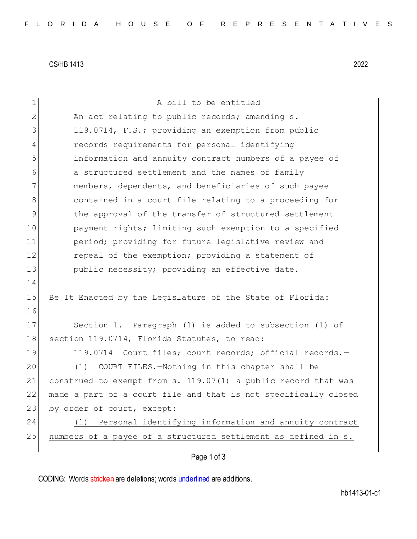CS/HB 1413 2022

| 1              | A bill to be entitled                                           |
|----------------|-----------------------------------------------------------------|
| $\mathbf{2}$   | An act relating to public records; amending s.                  |
| 3              | 119.0714, F.S.; providing an exemption from public              |
| $\overline{4}$ | records requirements for personal identifying                   |
| 5              | information and annuity contract numbers of a payee of          |
| 6              | a structured settlement and the names of family                 |
| 7              | members, dependents, and beneficiaries of such payee            |
| 8              | contained in a court file relating to a proceeding for          |
| 9              | the approval of the transfer of structured settlement           |
| 10             | payment rights; limiting such exemption to a specified          |
| 11             | period; providing for future legislative review and             |
| 12             | repeal of the exemption; providing a statement of               |
| 13             | public necessity; providing an effective date.                  |
| 14             |                                                                 |
| 15             | Be It Enacted by the Legislature of the State of Florida:       |
| 16             |                                                                 |
| 17             | Section 1. Paragraph (1) is added to subsection (1) of          |
| 18             | section 119.0714, Florida Statutes, to read:                    |
| 19             | 119.0714 Court files; court records; official records.-         |
| 20             | (1)<br>COURT FILES.-Nothing in this chapter shall be            |
| 21             | construed to exempt from s. 119.07(1) a public record that was  |
| 22             | made a part of a court file and that is not specifically closed |
| 23             | by order of court, except:                                      |
| 24             | Personal identifying information and annuity contract<br>( 1 )  |
| 25             | numbers of a payee of a structured settlement as defined in s.  |
|                |                                                                 |
|                | Page 1 of 3                                                     |

CODING: Words stricken are deletions; words underlined are additions.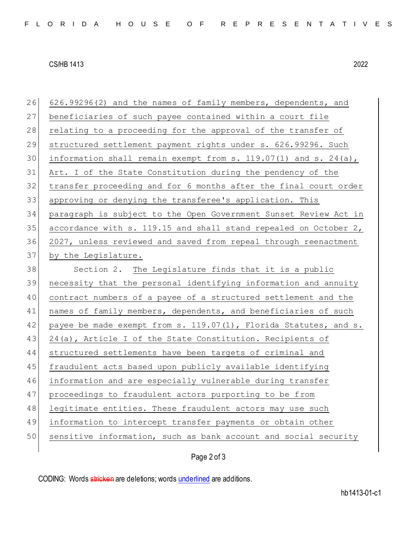## CS/HB 1413 2022

| 26 | 626.99296(2) and the names of family members, dependents, and    |
|----|------------------------------------------------------------------|
| 27 | beneficiaries of such payee contained within a court file        |
| 28 | relating to a proceeding for the approval of the transfer of     |
| 29 | structured settlement payment rights under s. 626.99296. Such    |
| 30 | information shall remain exempt from s. 119.07(1) and s. 24(a),  |
| 31 | Art. I of the State Constitution during the pendency of the      |
| 32 | transfer proceeding and for 6 months after the final court order |
| 33 | approving or denying the transferee's application. This          |
| 34 | paragraph is subject to the Open Government Sunset Review Act in |
| 35 | accordance with s. 119.15 and shall stand repealed on October 2, |
| 36 | 2027, unless reviewed and saved from repeal through reenactment  |
| 37 | by the Legislature.                                              |
| 38 | Section 2. The Legislature finds that it is a public             |
| 39 | necessity that the personal identifying information and annuity  |
| 40 | contract numbers of a payee of a structured settlement and the   |
| 41 | names of family members, dependents, and beneficiaries of such   |
| 42 | payee be made exempt from s. 119.07(1), Florida Statutes, and s. |
| 43 | 24(a), Article I of the State Constitution. Recipients of        |
| 44 | structured settlements have been targets of criminal and         |
| 45 | fraudulent acts based upon publicly available identifying        |
| 46 | information and are especially vulnerable during transfer        |
| 47 | proceedings to fraudulent actors purporting to be from           |
| 48 | legitimate entities. These fraudulent actors may use such        |
| 49 | information to intercept transfer payments or obtain other       |
| 50 | sensitive information, such as bank account and social security  |
|    |                                                                  |

## Page 2 of 3

CODING: Words stricken are deletions; words underlined are additions.